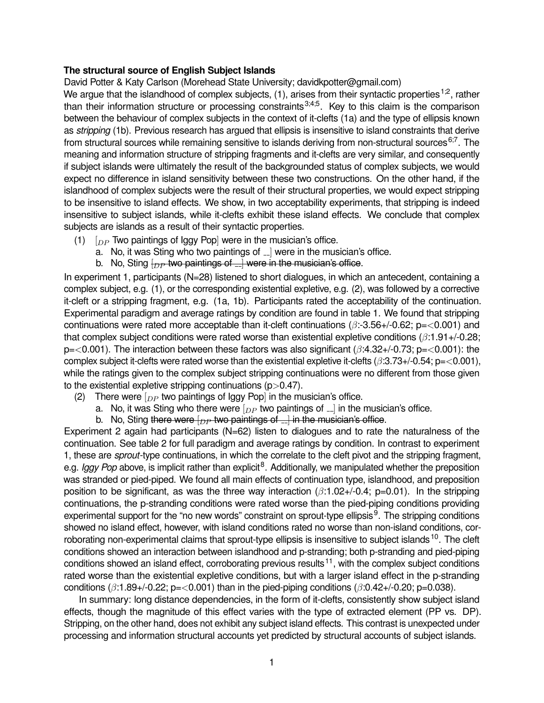## **The structural source of English Subject Islands**

David Potter & Katy Carlson (Morehead State University; davidkpotter@gmail.com)

We argue that the islandhood of complex subjects,  $(1)$ , arises from their syntactic properties <sup>1,2</sup>, rather than their information structure or processing constraints<sup>3;4;5</sup>. Key to this claim is the comparison between the behaviour of complex subjects in the context of it-clefts (1a) and the type of ellipsis known as *stripping* (1b). Previous research has argued that ellipsis is insensitive to island constraints that derive from structural sources while remaining sensitive to islands deriving from non-structural sources  $6,7$ . The meaning and information structure of stripping fragments and it-clefts are very similar, and consequently if subject islands were ultimately the result of the backgrounded status of complex subjects, we would expect no difference in island sensitivity between these two constructions. On the other hand, if the islandhood of complex subjects were the result of their structural properties, we would expect stripping to be insensitive to island effects. We show, in two acceptability experiments, that stripping is indeed insensitive to subject islands, while it-clefts exhibit these island effects. We conclude that complex subjects are islands as a result of their syntactic properties.

- (1)  $\int_{DP}$  Two paintings of Iggy Pop] were in the musician's office.
	- a. No, it was Sting who two paintings of  $\Box$  were in the musician's office.
	- b. No, Sting  $\{_{DP}$  two paintings of  $\Box$  were in the musician's office.

In experiment 1, participants (N=28) listened to short dialogues, in which an antecedent, containing a complex subject, e.g. (1), or the corresponding existential expletive, e.g. (2), was followed by a corrective it-cleft or a stripping fragment, e.g. (1a, 1b). Participants rated the acceptability of the continuation. Experimental paradigm and average ratings by condition are found in table 1. We found that stripping continuations were rated more acceptable than it-cleft continuations ( $\beta$ :-3.56+/-0.62; p=<0.001) and that complex subject conditions were rated worse than existential expletive conditions  $(8.1.91+\sqrt{-0.28})$ ;  $p = 0.001$ ). The interaction between these factors was also significant ( $\beta$ :4.32+/-0.73;  $p = 0.001$ ): the complex subject it-clefts were rated worse than the existential expletive it-clefts ( $\beta$ :3.73+/-0.54; p=<0.001), while the ratings given to the complex subject stripping continuations were no different from those given to the existential expletive stripping continuations  $(p>0.47)$ .

- (2) There were  $\lceil_{DP}$  two paintings of Iggy Pop] in the musician's office.
	- a. No, it was Sting who there were  $\left[_{DP}$  two paintings of  $\Box$  in the musician's office.
	- b. No, Sting there were  $\left\lfloor_{DP}$  two paintings of  $\right\rfloor$  in the musician's office.

Experiment 2 again had participants (N=62) listen to dialogues and to rate the naturalness of the continuation. See table 2 for full paradigm and average ratings by condition. In contrast to experiment 1, these are *sprout*-type continuations, in which the correlate to the cleft pivot and the stripping fragment, e.g. *Iggy Pop* above, is implicit rather than explicit<sup>8</sup>. Additionally, we manipulated whether the preposition was stranded or pied-piped. We found all main effects of continuation type, islandhood, and preposition position to be significant, as was the three way interaction  $(\beta:1.02+\beta-0.4; p=0.01)$ . In the stripping continuations, the p-stranding conditions were rated worse than the pied-piping conditions providing experimental support for the "no new words" constraint on sprout-type ellipsis<sup>9</sup>. The stripping conditions showed no island effect, however, with island conditions rated no worse than non-island conditions, corroborating non-experimental claims that sprout-type ellipsis is insensitive to subject islands<sup>10</sup>. The cleft conditions showed an interaction between islandhood and p-stranding; both p-stranding and pied-piping conditions showed an island effect, corroborating previous results<sup>11</sup>, with the complex subject conditions rated worse than the existential expletive conditions, but with a larger island effect in the p-stranding conditions ( $\beta$ :1.89+/-0.22; p=<0.001) than in the pied-piping conditions ( $\beta$ :0.42+/-0.20; p=0.038).

In summary: long distance dependencies, in the form of it-clefts, consistently show subject island effects, though the magnitude of this effect varies with the type of extracted element (PP vs. DP). Stripping, on the other hand, does not exhibit any subject island effects. This contrast is unexpected under processing and information structural accounts yet predicted by structural accounts of subject islands.